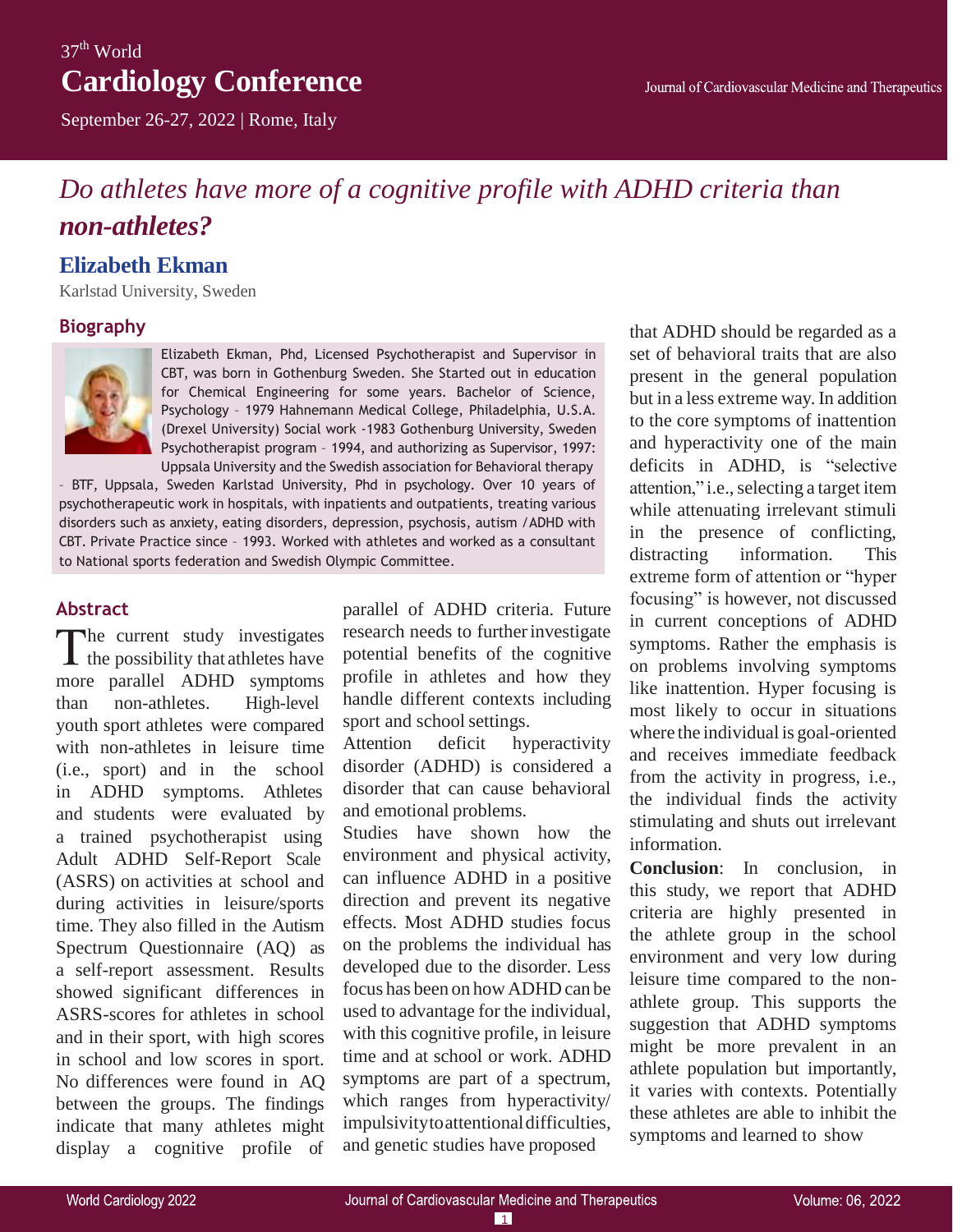## $37<sup>th</sup>$  World **Cardiology Conference**

September 26-27, 2022 | Rome, Italy

# *Do athletes have more of a cognitive profile with ADHD criteria than non-athletes?*

### **Elizabeth Ekman**

Karlstad University, Sweden

#### **Biography**



Elizabeth Ekman, Phd, Licensed Psychotherapist and Supervisor in CBT, was born in Gothenburg Sweden. She Started out in education for Chemical Engineering for some years. Bachelor of Science, Psychology – 1979 Hahnemann Medical College, Philadelphia, U.S.A. (Drexel University) Social work -1983 Gothenburg University, Sweden Psychotherapist program – 1994, and authorizing as Supervisor, 1997: Uppsala University and the Swedish association for Behavioral therapy

– BTF, Uppsala, Sweden Karlstad University, Phd in psychology. Over 10 years of psychotherapeutic work in hospitals, with inpatients and outpatients, treating various disorders such as anxiety, eating disorders, depression, psychosis, autism /ADHD with CBT. Private Practice since – 1993. Worked with athletes and worked as a consultant to National sports federation and Swedish Olympic Committee.

#### **Abstract**

The current study investigates  $\blacktriangle$  the possibility that athletes have more parallel ADHD symptoms than non-athletes. High-level youth sport athletes were compared with non-athletes in leisure time (i.e., sport) and in the school in ADHD symptoms. Athletes and students were evaluated by a trained psychotherapist using Adult ADHD Self-Report Scale (ASRS) on activities at school and during activities in leisure/sports time. They also filled in the Autism Spectrum Questionnaire (AQ) as a self-report assessment. Results showed significant differences in ASRS-scores for athletes in school and in their sport, with high scores in school and low scores in sport. No differences were found in AQ between the groups. The findings indicate that many athletes might display a cognitive profile of

parallel of ADHD criteria. Future research needs to further investigate potential benefits of the cognitive profile in athletes and how they handle different contexts including sport and school settings.

Attention deficit hyperactivity disorder (ADHD) is considered a disorder that can cause behavioral and emotional problems.

Studies have shown how the environment and physical activity, can influence ADHD in a positive direction and prevent its negative effects. Most ADHD studies focus on the problems the individual has developed due to the disorder. Less focus has been on how ADHD can be used to advantage for the individual, with this cognitive profile, in leisure time and at school or work. ADHD symptoms are part of a spectrum, which ranges from hyperactivity/ impulsivitytoattentionaldifficulties, and genetic studies have proposed

that ADHD should be regarded as a set of behavioral traits that are also present in the general population but in a less extreme way. In addition to the core symptoms of inattention and hyperactivity one of the main deficits in ADHD, is "selective attention," i.e., selecting a target item while attenuating irrelevant stimuli in the presence of conflicting, distracting information. This extreme form of attention or "hyper focusing" is however, not discussed in current conceptions of ADHD symptoms. Rather the emphasis is on problems involving symptoms like inattention. Hyper focusing is most likely to occur in situations where the individual is goal-oriented and receives immediate feedback from the activity in progress, i.e., the individual finds the activity stimulating and shuts out irrelevant information.

**Conclusion**: In conclusion, in this study, we report that ADHD criteria are highly presented in the athlete group in the school environment and very low during leisure time compared to the nonathlete group. This supports the suggestion that ADHD symptoms might be more prevalent in an athlete population but importantly, it varies with contexts. Potentially these athletes are able to inhibit the symptoms and learned to show